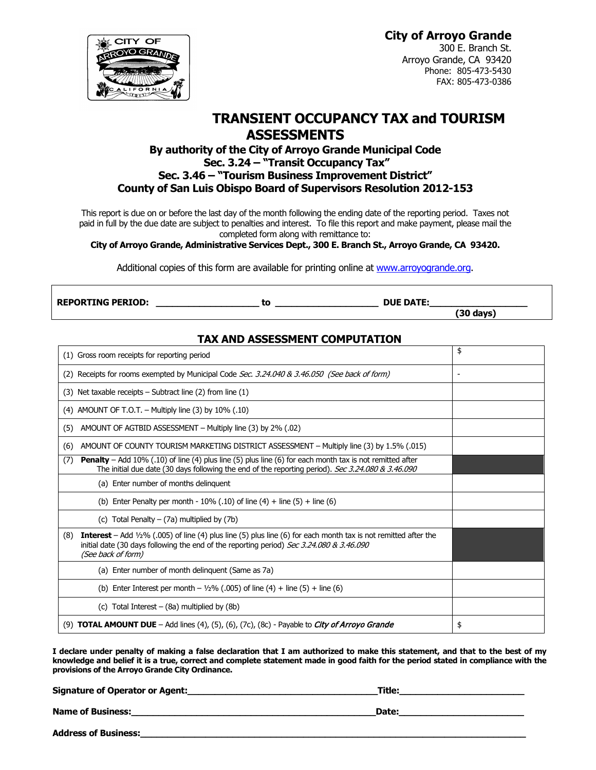# **City of Arroyo Grande**

CITY OF

300 E. Branch St. Arroyo Grande, CA 93420 Phone: 805-473-5430 FAX: 805-473-0386

# **TRANSIENT OCCUPANCY TAX and TOURISM ASSESSMENTS**

# **By authority of the City of Arroyo Grande Municipal Code Sec. 3.24 – "Transit Occupancy Tax" Sec. 3.46 – "Tourism Business Improvement District" County of San Luis Obispo Board of Supervisors Resolution 2012-153**

This report is due on or before the last day of the month following the ending date of the reporting period. Taxes not paid in full by the due date are subject to penalties and interest. To file this report and make payment, please mail the completed form along with remittance to:

**City of Arroyo Grande, Administrative Services Dept., 300 E. Branch St., Arroyo Grande, CA 93420.** 

Additional copies of this form are available for printing online at [www.arroyogrande.org.](http://www.arroyogrande.org/)

**REPORTING PERIOD: \_\_\_\_\_\_\_\_\_\_\_\_\_\_\_\_\_\_\_ to \_\_\_\_\_\_\_\_\_\_\_\_\_\_\_\_\_\_\_ DUE DATE:\_\_\_\_\_\_\_\_\_\_\_\_\_\_\_\_\_\_**

 **(30 days)**

# **TAX AND ASSESSMENT COMPUTATION**

| (1) Gross room receipts for reporting period                                                                                                                                                                                                               | \$ |
|------------------------------------------------------------------------------------------------------------------------------------------------------------------------------------------------------------------------------------------------------------|----|
| (2) Receipts for rooms exempted by Municipal Code Sec. 3.24.040 & 3.46.050 (See back of form)                                                                                                                                                              | ۰  |
| $(3)$ Net taxable receipts – Subtract line $(2)$ from line $(1)$                                                                                                                                                                                           |    |
| (4) AMOUNT OF T.O.T. – Multiply line (3) by $10\%$ (.10)                                                                                                                                                                                                   |    |
| AMOUNT OF AGTBID ASSESSMENT – Multiply line (3) by 2% (.02)<br>(5)                                                                                                                                                                                         |    |
| AMOUNT OF COUNTY TOURISM MARKETING DISTRICT ASSESSMENT - Multiply line (3) by 1.5% (.015)<br>(6)                                                                                                                                                           |    |
| Penalty - Add 10% (.10) of line (4) plus line (5) plus line (6) for each month tax is not remitted after<br>(7)<br>The initial due date (30 days following the end of the reporting period). Sec 3.24.080 & 3.46.090                                       |    |
| (a) Enter number of months delinguent                                                                                                                                                                                                                      |    |
| (b) Enter Penalty per month - $10\%$ (.10) of line (4) + line (5) + line (6)                                                                                                                                                                               |    |
| (c) Total Penalty – (7a) multiplied by (7b)                                                                                                                                                                                                                |    |
| <b>Interest</b> – Add $\frac{1}{2}\%$ (.005) of line (4) plus line (5) plus line (6) for each month tax is not remitted after the<br>(8)<br>initial date (30 days following the end of the reporting period) Sec 3.24.080 & 3.46.090<br>(See back of form) |    |
| (a) Enter number of month delinguent (Same as 7a)                                                                                                                                                                                                          |    |
| (b) Enter Interest per month – $1/2\%$ (.005) of line (4) + line (5) + line (6)                                                                                                                                                                            |    |
| (c) Total Interest $-$ (8a) multiplied by (8b)                                                                                                                                                                                                             |    |
| (9) <b>TOTAL AMOUNT DUE</b> - Add lines (4), (5), (6), (7c), (8c) - Payable to <i>City of Arroyo Grande</i>                                                                                                                                                | \$ |

**I declare under penalty of making a false declaration that I am authorized to make this statement, and that to the best of my knowledge and belief it is a true, correct and complete statement made in good faith for the period stated in compliance with the provisions of the Arroyo Grande City Ordinance.**

**Signature of Operator or Agent:\_\_\_\_\_\_\_\_\_\_\_\_\_\_\_\_\_\_\_\_\_\_\_\_\_\_\_\_\_\_\_\_\_\_\_Title:\_\_\_\_\_\_\_\_\_\_\_\_\_\_\_\_\_\_\_\_\_\_\_**

**Name of Business:\_\_\_\_\_\_\_\_\_\_\_\_\_\_\_\_\_\_\_\_\_\_\_\_\_\_\_\_\_\_\_\_\_\_\_\_\_\_\_\_\_\_\_\_\_Date:\_\_\_\_\_\_\_\_\_\_\_\_\_\_\_\_\_\_\_\_\_\_\_**

**Address of Business:\_\_\_\_\_\_\_\_\_\_\_\_\_\_\_\_\_\_\_\_\_\_\_\_\_\_\_\_\_\_\_\_\_\_\_\_\_\_\_\_\_\_\_\_\_\_\_\_\_\_\_\_\_\_\_\_\_\_\_\_\_\_\_\_\_\_\_\_\_\_\_**